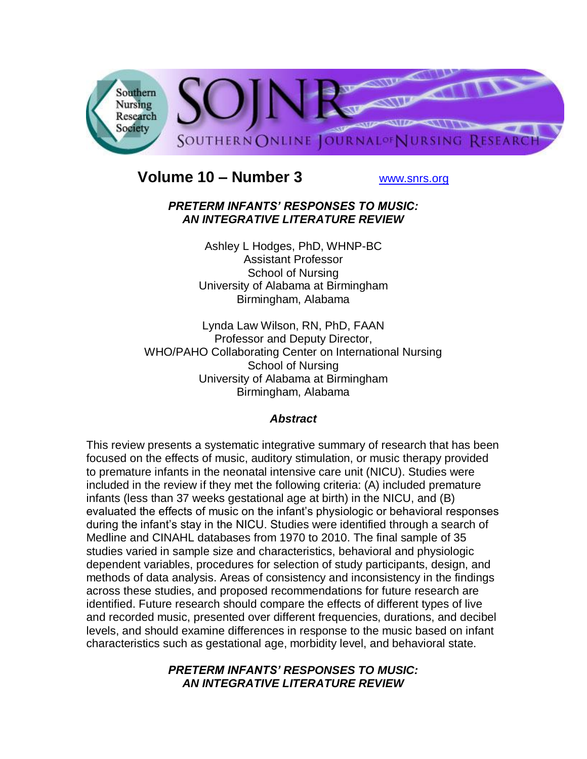

# **Volume 10 – Number 3** [www.snrs.org](http://www.snrs.org/)

#### *PRETERM INFANTS' RESPONSES TO MUSIC: AN INTEGRATIVE LITERATURE REVIEW*

Ashley L Hodges, PhD, WHNP-BC Assistant Professor School of Nursing University of Alabama at Birmingham Birmingham, Alabama

Lynda Law Wilson, RN, PhD, FAAN Professor and Deputy Director, WHO/PAHO Collaborating Center on International Nursing School of Nursing University of Alabama at Birmingham Birmingham, Alabama

# *Abstract*

This review presents a systematic integrative summary of research that has been focused on the effects of music, auditory stimulation, or music therapy provided to premature infants in the neonatal intensive care unit (NICU). Studies were included in the review if they met the following criteria: (A) included premature infants (less than 37 weeks gestational age at birth) in the NICU, and (B) evaluated the effects of music on the infant"s physiologic or behavioral responses during the infant"s stay in the NICU. Studies were identified through a search of Medline and CINAHL databases from 1970 to 2010. The final sample of 35 studies varied in sample size and characteristics, behavioral and physiologic dependent variables, procedures for selection of study participants, design, and methods of data analysis. Areas of consistency and inconsistency in the findings across these studies, and proposed recommendations for future research are identified. Future research should compare the effects of different types of live and recorded music, presented over different frequencies, durations, and decibel levels, and should examine differences in response to the music based on infant characteristics such as gestational age, morbidity level, and behavioral state.

## *PRETERM INFANTS' RESPONSES TO MUSIC: AN INTEGRATIVE LITERATURE REVIEW*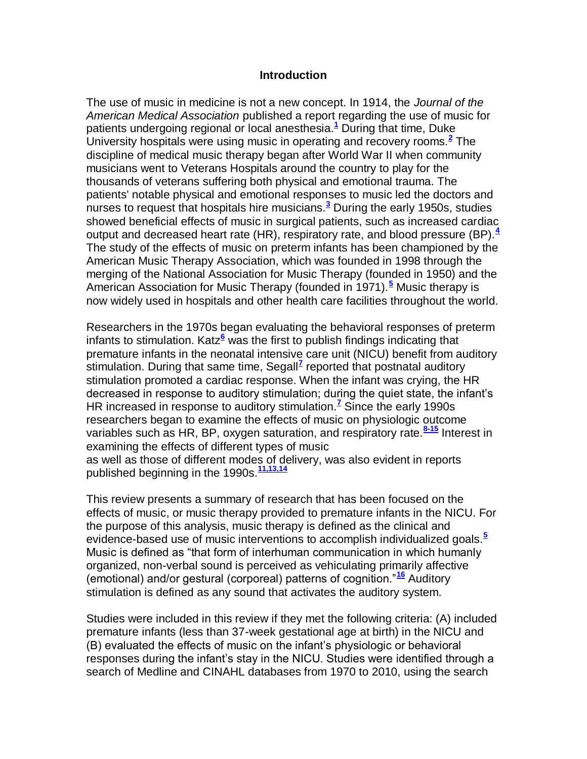#### **Introduction**

The use of music in medicine is not a new concept. In 1914, the *Journal of the American Medical Association* published a report regarding the use of music for patients undergoing regional or local anesthesia.**[1](http://snrs.org/publications/SOJNR_articles2/n)** During that time, Duke University hospitals were using music in operating and recovery rooms.**[2](http://snrs.org/publications/SOJNR_articles2/n)** The discipline of medical music therapy began after World War II when community musicians went to Veterans Hospitals around the country to play for the thousands of veterans suffering both physical and emotional trauma. The patients' notable physical and emotional responses to music led the doctors and nurses to request that hospitals hire musicians.**[3](http://snrs.org/publications/SOJNR_articles2/n)** During the early 1950s, studies showed beneficial effects of music in surgical patients, such as increased cardiac output and decreased heart rate (HR), respiratory rate, and blood pressure (BP).**[4](http://snrs.org/publications/SOJNR_articles2/n)** The study of the effects of music on preterm infants has been championed by the American Music Therapy Association, which was founded in 1998 through the merging of the National Association for Music Therapy (founded in 1950) and the American Association for Music Therapy (founded in 1971).**[5](http://snrs.org/publications/SOJNR_articles2/n)** Music therapy is now widely used in hospitals and other health care facilities throughout the world.

Researchers in the 1970s began evaluating the behavioral responses of preterm infants to stimulation. Katz**[6](http://snrs.org/publications/SOJNR_articles2/n)** was the first to publish findings indicating that premature infants in the neonatal intensive care unit (NICU) benefit from auditory stimulation. During that same time, Segall**[7](http://snrs.org/publications/SOJNR_articles2/n)** reported that postnatal auditory stimulation promoted a cardiac response. When the infant was crying, the HR decreased in response to auditory stimulation; during the quiet state, the infant"s HR increased in response to auditory stimulation.**[7](http://snrs.org/publications/SOJNR_articles2/n)** Since the early 1990s researchers began to examine the effects of music on physiologic outcome variables such as HR, BP, oxygen saturation, and respiratory rate.**[8-15](http://snrs.org/publications/SOJNR_articles2/n)** Interest in examining the effects of different types of music as well as those of different modes of delivery, was also evident in reports published beginning in the 1990s.**[11,13,14](http://snrs.org/publications/SOJNR_articles2/n)**

This review presents a summary of research that has been focused on the effects of music, or music therapy provided to premature infants in the NICU. For the purpose of this analysis, music therapy is defined as the clinical and evidence-based use of music interventions to accomplish individualized goals.**[5](http://snrs.org/publications/SOJNR_articles2/n)** Music is defined as "that form of interhuman communication in which humanly organized, non-verbal sound is perceived as vehiculating primarily affective (emotional) and/or gestural (corporeal) patterns of cognition."**[16](http://snrs.org/publications/SOJNR_articles2/n)** Auditory stimulation is defined as any sound that activates the auditory system.

Studies were included in this review if they met the following criteria: (A) included premature infants (less than 37-week gestational age at birth) in the NICU and (B) evaluated the effects of music on the infant"s physiologic or behavioral responses during the infant"s stay in the NICU. Studies were identified through a search of Medline and CINAHL databases from 1970 to 2010, using the search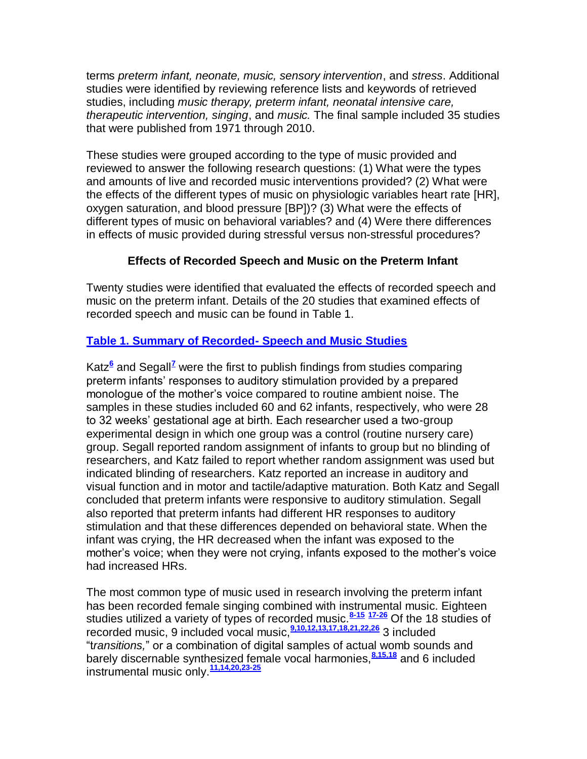terms *preterm infant, neonate, music, sensory intervention*, and *stress*. Additional studies were identified by reviewing reference lists and keywords of retrieved studies, including *music therapy, preterm infant, neonatal intensive care, therapeutic intervention, singing*, and *music.* The final sample included 35 studies that were published from 1971 through 2010.

These studies were grouped according to the type of music provided and reviewed to answer the following research questions: (1) What were the types and amounts of live and recorded music interventions provided? (2) What were the effects of the different types of music on physiologic variables heart rate [HR], oxygen saturation, and blood pressure [BP])? (3) What were the effects of different types of music on behavioral variables? and (4) Were there differences in effects of music provided during stressful versus non-stressful procedures?

## **Effects of Recorded Speech and Music on the Preterm Infant**

Twenty studies were identified that evaluated the effects of recorded speech and music on the preterm infant. Details of the 20 studies that examined effects of recorded speech and music can be found in Table 1.

## **[Table 1. Summary of Recorded-](http://snrs.org/publications/SOJNR_articles2/images/Vol10Num03Art05_1.pdf) Speech and Music Studies**

Katz<sup>[6](http://snrs.org/publications/SOJNR_articles2/n)</sup> and Sega[l](http://snrs.org/publications/SOJNR_articles2/n)l<sup>z</sup> were the first to publish findings from studies comparing preterm infants" responses to auditory stimulation provided by a prepared monologue of the mother"s voice compared to routine ambient noise. The samples in these studies included 60 and 62 infants, respectively, who were 28 to 32 weeks" gestational age at birth. Each researcher used a two-group experimental design in which one group was a control (routine nursery care) group. Segall reported random assignment of infants to group but no blinding of researchers, and Katz failed to report whether random assignment was used but indicated blinding of researchers. Katz reported an increase in auditory and visual function and in motor and tactile/adaptive maturation. Both Katz and Segall concluded that preterm infants were responsive to auditory stimulation. Segall also reported that preterm infants had different HR responses to auditory stimulation and that these differences depended on behavioral state. When the infant was crying, the HR decreased when the infant was exposed to the mother"s voice; when they were not crying, infants exposed to the mother"s voice had increased HRs.

The most common type of music used in research involving the preterm infant has been recorded female singing combined with instrumental music. Eighteen studies utilized a variety of types of recorded music.**[8-15](http://snrs.org/publications/SOJNR_articles2/n) [17-26](http://snrs.org/publications/SOJNR_articles2/n)** Of the 18 studies of recorded music, 9 included vocal music,**[9,10,12,13,17,18,21,22,26](http://snrs.org/publications/SOJNR_articles2/n)** 3 included "t*ransitions,*" or a combination of digital samples of actual womb sounds and barely discernable synthesized female vocal harmonies,**[8,15,18](http://snrs.org/publications/SOJNR_articles2/n)** and 6 included instrumental music only.**[11,14,20,23-25](http://snrs.org/publications/SOJNR_articles2/n)**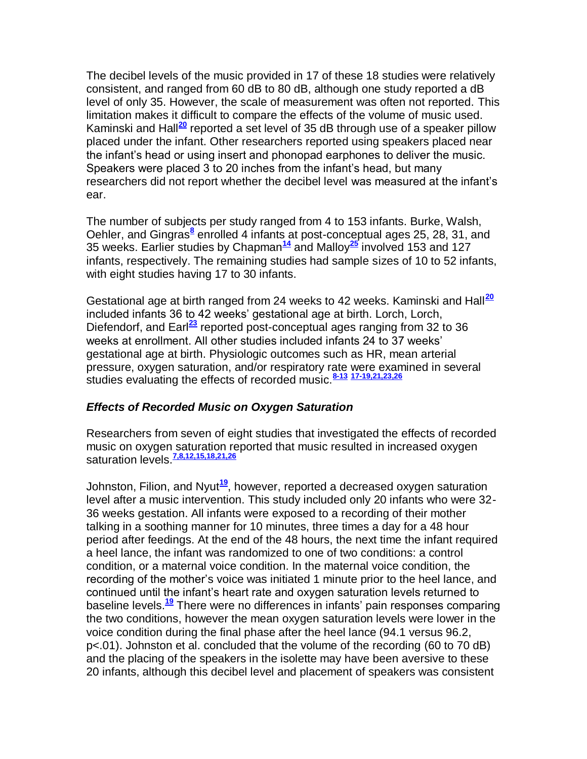The decibel levels of the music provided in 17 of these 18 studies were relatively consistent, and ranged from 60 dB to 80 dB, although one study reported a dB level of only 35. However, the scale of measurement was often not reported. This limitation makes it difficult to compare the effects of the volume of music used. Kaminski and Hall**[20](http://snrs.org/publications/SOJNR_articles2/n)** reported a set level of 35 dB through use of a speaker pillow placed under the infant. Other researchers reported using speakers placed near the infant"s head or using insert and phonopad earphones to deliver the music. Speakers were placed 3 to 20 inches from the infant"s head, but many researchers did not report whether the decibel level was measured at the infant"s ear.

The number of subjects per study ranged from 4 to 153 infants. Burke, Walsh, Oehler, and Gingras<sup>[8](http://snrs.org/publications/SOJNR_articles2/n)</sup> enrolled 4 infants at post-conceptual ages 25, 28, 31, and 35 weeks. Earlier studies by Chapman**[14](http://snrs.org/publications/SOJNR_articles2/n)** and Malloy**[25](http://snrs.org/publications/SOJNR_articles2/n)** involved 153 and 127 infants, respectively. The remaining studies had sample sizes of 10 to 52 infants, with eight studies having 17 to 30 infants.

Gestational age at birth ranged from 24 weeks to 42 weeks. Kaminski and Hall**[20](http://snrs.org/publications/SOJNR_articles2/n)** included infants 36 to 42 weeks' gestational age at birth. Lorch, Lorch, Diefendorf, and Earl**[23](http://snrs.org/publications/SOJNR_articles2/n)** reported post-conceptual ages ranging from 32 to 36 weeks at enrollment. All other studies included infants 24 to 37 weeks" gestational age at birth. Physiologic outcomes such as HR, mean arterial pressure, oxygen saturation, and/or respiratory rate were examined in several studies evaluating the effects of recorded music.**[8-13](http://snrs.org/publications/SOJNR_articles2/n) [17-19,21,23,26](http://snrs.org/publications/SOJNR_articles2/n)**

#### *Effects of Recorded Music on Oxygen Saturation*

Researchers from seven of eight studies that investigated the effects of recorded music on oxygen saturation reported that music resulted in increased oxygen saturation levels.**[7,8,12,15,18,21,26](http://snrs.org/publications/SOJNR_articles2/n)**

Johnston, Filion, and Nyut**[19](http://snrs.org/publications/SOJNR_articles2/n)**, however, reported a decreased oxygen saturation level after a music intervention. This study included only 20 infants who were 32- 36 weeks gestation. All infants were exposed to a recording of their mother talking in a soothing manner for 10 minutes, three times a day for a 48 hour period after feedings. At the end of the 48 hours, the next time the infant required a heel lance, the infant was randomized to one of two conditions: a control condition, or a maternal voice condition. In the maternal voice condition, the recording of the mother"s voice was initiated 1 minute prior to the heel lance, and continued until the infant"s heart rate and oxygen saturation levels returned to baseline levels.**[19](http://snrs.org/publications/SOJNR_articles2/n)** There were no differences in infants" pain responses comparing the two conditions, however the mean oxygen saturation levels were lower in the voice condition during the final phase after the heel lance (94.1 versus 96.2, p<.01). Johnston et al. concluded that the volume of the recording (60 to 70 dB) and the placing of the speakers in the isolette may have been aversive to these 20 infants, although this decibel level and placement of speakers was consistent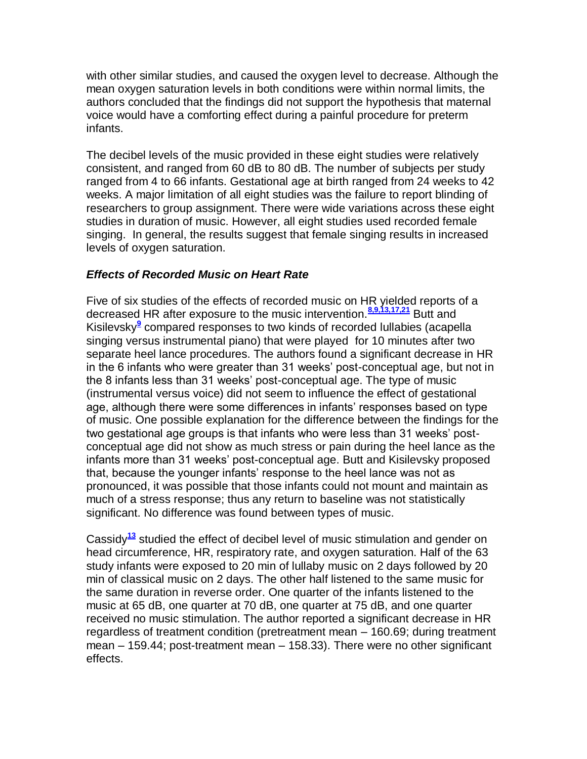with other similar studies, and caused the oxygen level to decrease. Although the mean oxygen saturation levels in both conditions were within normal limits, the authors concluded that the findings did not support the hypothesis that maternal voice would have a comforting effect during a painful procedure for preterm infants.

The decibel levels of the music provided in these eight studies were relatively consistent, and ranged from 60 dB to 80 dB. The number of subjects per study ranged from 4 to 66 infants. Gestational age at birth ranged from 24 weeks to 42 weeks. A major limitation of all eight studies was the failure to report blinding of researchers to group assignment. There were wide variations across these eight studies in duration of music. However, all eight studies used recorded female singing. In general, the results suggest that female singing results in increased levels of oxygen saturation.

## *Effects of Recorded Music on Heart Rate*

Five of six studies of the effects of recorded music on HR yielded reports of a decreased HR after exposure to the music intervention.**[8,9,13,17,21](http://snrs.org/publications/SOJNR_articles2/n)** Butt and Kisilevsk[y](http://snrs.org/publications/SOJNR_articles2/n)**<sup>9</sup>** compared responses to two kinds of recorded lullabies (acapella singing versus instrumental piano) that were played for 10 minutes after two separate heel lance procedures. The authors found a significant decrease in HR in the 6 infants who were greater than 31 weeks" post-conceptual age, but not in the 8 infants less than 31 weeks" post-conceptual age. The type of music (instrumental versus voice) did not seem to influence the effect of gestational age, although there were some differences in infants' responses based on type of music. One possible explanation for the difference between the findings for the two gestational age groups is that infants who were less than 31 weeks" postconceptual age did not show as much stress or pain during the heel lance as the infants more than 31 weeks" post-conceptual age. Butt and Kisilevsky proposed that, because the younger infants' response to the heel lance was not as pronounced, it was possible that those infants could not mount and maintain as much of a stress response; thus any return to baseline was not statistically significant. No difference was found between types of music.

Cassidy**[13](http://snrs.org/publications/SOJNR_articles2/n)** studied the effect of decibel level of music stimulation and gender on head circumference, HR, respiratory rate, and oxygen saturation. Half of the 63 study infants were exposed to 20 min of lullaby music on 2 days followed by 20 min of classical music on 2 days. The other half listened to the same music for the same duration in reverse order. One quarter of the infants listened to the music at 65 dB, one quarter at 70 dB, one quarter at 75 dB, and one quarter received no music stimulation. The author reported a significant decrease in HR regardless of treatment condition (pretreatment mean – 160.69; during treatment mean – 159.44; post-treatment mean – 158.33). There were no other significant effects.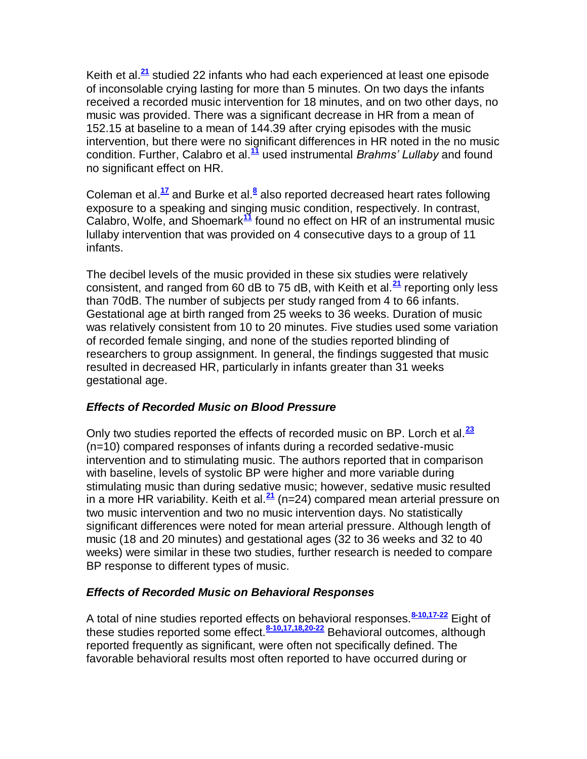Keith et al.**[21](http://snrs.org/publications/SOJNR_articles2/n)** studied 22 infants who had each experienced at least one episode of inconsolable crying lasting for more than 5 minutes. On two days the infants received a recorded music intervention for 18 minutes, and on two other days, no music was provided. There was a significant decrease in HR from a mean of 152.15 at baseline to a mean of 144.39 after crying episodes with the music intervention, but there were no significant differences in HR noted in the no music condition. Further, Calabro et al.**[11](http://snrs.org/publications/SOJNR_articles2/n)** used instrumental *Brahms' Lullaby* and found no significant effect on HR.

Coleman et al.<sup>[17](http://snrs.org/publications/SOJNR_articles2/n)</sup> and Burke et al[.](http://snrs.org/publications/SOJNR_articles2/n)<sup>8</sup> also reported decreased heart rates following exposure to a speaking and singing music condition, respectively. In contrast, Calabro, Wolfe, and Shoemark**[11](http://snrs.org/publications/SOJNR_articles2/n)** found no effect on HR of an instrumental music lullaby intervention that was provided on 4 consecutive days to a group of 11 infants.

The decibel levels of the music provided in these six studies were relatively consistent, and ranged from 60 dB to 75 dB, with Keith et al.**[21](http://snrs.org/publications/SOJNR_articles2/n)** reporting only less than 70dB. The number of subjects per study ranged from 4 to 66 infants. Gestational age at birth ranged from 25 weeks to 36 weeks. Duration of music was relatively consistent from 10 to 20 minutes. Five studies used some variation of recorded female singing, and none of the studies reported blinding of researchers to group assignment. In general, the findings suggested that music resulted in decreased HR, particularly in infants greater than 31 weeks gestational age.

# *Effects of Recorded Music on Blood Pressure*

Only two studies reported the effects of recorded music on BP. Lorch et al.**[23](http://snrs.org/publications/SOJNR_articles2/n)** (n=10) compared responses of infants during a recorded sedative-music intervention and to stimulating music. The authors reported that in comparison with baseline, levels of systolic BP were higher and more variable during stimulating music than during sedative music; however, sedative music resulted in a more HR variability. Keith et al.**[21](http://snrs.org/publications/SOJNR_articles2/n)** (n=24) compared mean arterial pressure on two music intervention and two no music intervention days. No statistically significant differences were noted for mean arterial pressure. Although length of music (18 and 20 minutes) and gestational ages (32 to 36 weeks and 32 to 40 weeks) were similar in these two studies, further research is needed to compare BP response to different types of music.

# *Effects of Recorded Music on Behavioral Responses*

A total of nine studies reported effects on behavioral responses.**[8-10,17-22](http://snrs.org/publications/SOJNR_articles2/n)** Eight of these studies reported some effect.**[8-10,17,18,20-22](http://snrs.org/publications/SOJNR_articles2/n)** Behavioral outcomes, although reported frequently as significant, were often not specifically defined. The favorable behavioral results most often reported to have occurred during or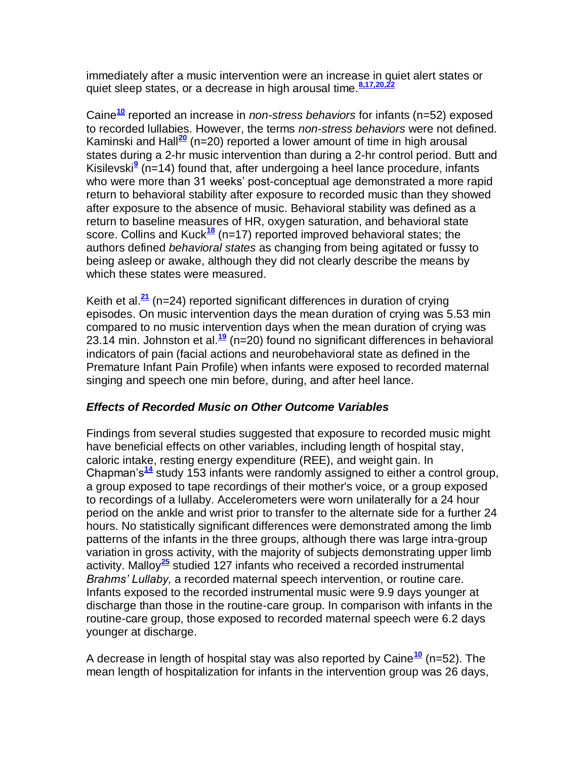immediately after a music intervention were an increase in quiet alert states or quiet sleep states, or a decrease in high arousal time.<sup>8,17,20</sup>

Caine**[10](http://snrs.org/publications/SOJNR_articles2/n)** reported an increase in *non-stress behaviors* for infants (n=52) exposed to recorded lullabies. However, the terms *non-stress behaviors* were not defined. Kaminski and Hall**[20](http://snrs.org/publications/SOJNR_articles2/n)** (n=20) reported a lower amount of time in high arousal states during a 2-hr music intervention than during a 2-hr control period. Butt and K[i](http://snrs.org/publications/SOJNR_articles2/n)silevski<sup>9</sup> (n=14) found that, after undergoing a heel lance procedure, infants who were more than 31 weeks' post-conceptual age demonstrated a more rapid return to behavioral stability after exposure to recorded music than they showed after exposure to the absence of music. Behavioral stability was defined as a return to baseline measures of HR, oxygen saturation, and behavioral state score. Collins and Kuck**[18](http://snrs.org/publications/SOJNR_articles2/n)** (n=17) reported improved behavioral states; the authors defined *behavioral states* as changing from being agitated or fussy to being asleep or awake, although they did not clearly describe the means by which these states were measured.

Keith et al.**[21](http://snrs.org/publications/SOJNR_articles2/n)** (n=24) reported significant differences in duration of crying episodes. On music intervention days the mean duration of crying was 5.53 min compared to no music intervention days when the mean duration of crying was 23.14 min. Johnston et al.**[19](http://snrs.org/publications/SOJNR_articles2/n)** (n=20) found no significant differences in behavioral indicators of pain (facial actions and neurobehavioral state as defined in the Premature Infant Pain Profile) when infants were exposed to recorded maternal singing and speech one min before, during, and after heel lance.

# *Effects of Recorded Music on Other Outcome Variables*

Findings from several studies suggested that exposure to recorded music might have beneficial effects on other variables, including length of hospital stay, caloric intake, resting energy expenditure (REE), and weight gain. In Chapman"s**[14](http://snrs.org/publications/SOJNR_articles2/n)** study 153 infants were randomly assigned to either a control group, a group exposed to tape recordings of their mother's voice, or a group exposed to recordings of a lullaby. Accelerometers were worn unilaterally for a 24 hour period on the ankle and wrist prior to transfer to the alternate side for a further 24 hours. No statistically significant differences were demonstrated among the limb patterns of the infants in the three groups, although there was large intra-group variation in gross activity, with the majority of subjects demonstrating upper limb activity. Malloy**[25](http://snrs.org/publications/SOJNR_articles2/n)** studied 127 infants who received a recorded instrumental *Brahms' Lullaby,* a recorded maternal speech intervention, or routine care. Infants exposed to the recorded instrumental music were 9.9 days younger at discharge than those in the routine-care group. In comparison with infants in the routine-care group, those exposed to recorded maternal speech were 6.2 days younger at discharge.

A decrease in length of hospital stay was also reported by Caine**[10](http://snrs.org/publications/SOJNR_articles2/n)** (n=52). The mean length of hospitalization for infants in the intervention group was 26 days,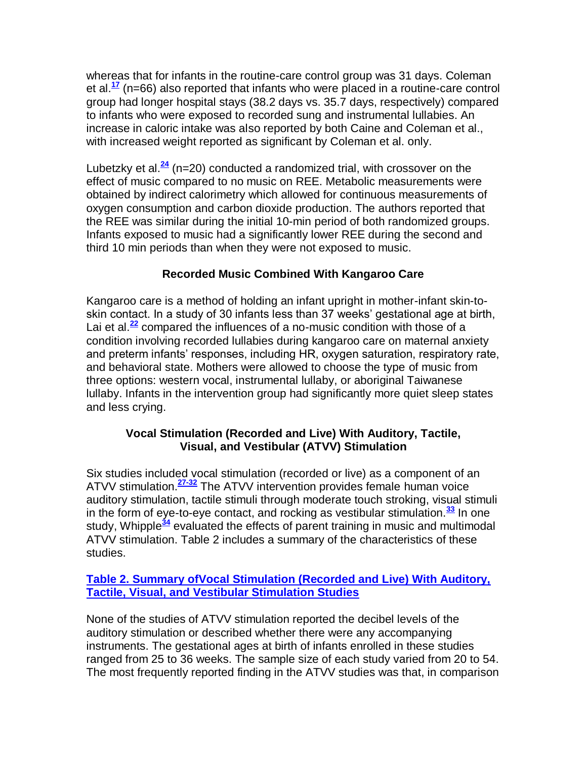whereas that for infants in the routine-care control group was 31 days. Coleman et al.**[17](http://snrs.org/publications/SOJNR_articles2/n)** (n=66) also reported that infants who were placed in a routine-care control group had longer hospital stays (38.2 days vs. 35.7 days, respectively) compared to infants who were exposed to recorded sung and instrumental lullabies. An increase in caloric intake was also reported by both Caine and Coleman et al., with increased weight reported as significant by Coleman et al. only.

Lubetzky et al.**[24](http://snrs.org/publications/SOJNR_articles2/n)** (n=20) conducted a randomized trial, with crossover on the effect of music compared to no music on REE. Metabolic measurements were obtained by indirect calorimetry which allowed for continuous measurements of oxygen consumption and carbon dioxide production. The authors reported that the REE was similar during the initial 10-min period of both randomized groups. Infants exposed to music had a significantly lower REE during the second and third 10 min periods than when they were not exposed to music.

# **Recorded Music Combined With Kangaroo Care**

Kangaroo care is a method of holding an infant upright in mother-infant skin-toskin contact. In a study of 30 infants less than 37 weeks" gestational age at birth, Lai et al.<sup>[22](http://snrs.org/publications/SOJNR_articles2/n)</sup> compared the influences of a no-music condition with those of a condition involving recorded lullabies during kangaroo care on maternal anxiety and preterm infants' responses, including HR, oxygen saturation, respiratory rate, and behavioral state. Mothers were allowed to choose the type of music from three options: western vocal, instrumental lullaby, or aboriginal Taiwanese lullaby. Infants in the intervention group had significantly more quiet sleep states and less crying.

#### **Vocal Stimulation (Recorded and Live) With Auditory, Tactile, Visual, and Vestibular (ATVV) Stimulation**

Six studies included vocal stimulation (recorded or live) as a component of an ATVV stimulation.**[27-32](http://snrs.org/publications/SOJNR_articles2/n)** The ATVV intervention provides female human voice auditory stimulation, tactile stimuli through moderate touch stroking, visual stimuli in the form of eye-to-eye contact, and rocking as vestibular stimulation.**[33](http://snrs.org/publications/SOJNR_articles2/n)** In one study, Whipple**[34](http://snrs.org/publications/SOJNR_articles2/n)** evaluated the effects of parent training in music and multimodal ATVV stimulation. Table 2 includes a summary of the characteristics of these studies.

## **[Table 2. Summary ofVocal Stimulation \(Recorded and Live\) With Auditory,](http://snrs.org/publications/SOJNR_articles2/images/Vol10Num03Art05_2.pdf)  [Tactile, Visual, and Vestibular Stimulation Studies](http://snrs.org/publications/SOJNR_articles2/images/Vol10Num03Art05_2.pdf)**

None of the studies of ATVV stimulation reported the decibel levels of the auditory stimulation or described whether there were any accompanying instruments. The gestational ages at birth of infants enrolled in these studies ranged from 25 to 36 weeks. The sample size of each study varied from 20 to 54. The most frequently reported finding in the ATVV studies was that, in comparison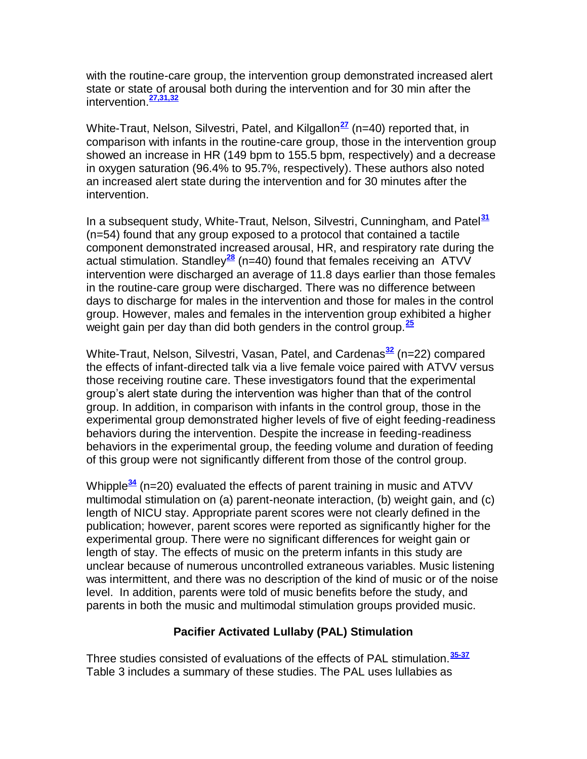with the routine-care group, the intervention group demonstrated increased alert state or state of arousal both during the intervention and for 30 min after the intervention.**[27,31,32](http://snrs.org/publications/SOJNR_articles2/n)**

White-Traut, Nelson, Silvestri, Patel, and Kilgallon<sup>[27](http://snrs.org/publications/SOJNR_articles2/n)</sup> (n=40) reported that, in comparison with infants in the routine-care group, those in the intervention group showed an increase in HR (149 bpm to 155.5 bpm, respectively) and a decrease in oxygen saturation (96.4% to 95.7%, respectively). These authors also noted an increased alert state during the intervention and for 30 minutes after the intervention.

In a subsequent study, White-Traut, Nelson, Silvestri, Cunningham, and Patel**[31](http://snrs.org/publications/SOJNR_articles2/n)** (n=54) found that any group exposed to a protocol that contained a tactile component demonstrated increased arousal, HR, and respiratory rate during the actual stimulation. Standley**[28](http://snrs.org/publications/SOJNR_articles2/n)** (n=40) found that females receiving an ATVV intervention were discharged an average of 11.8 days earlier than those females in the routine-care group were discharged. There was no difference between days to discharge for males in the intervention and those for males in the control group. However, males and females in the intervention group exhibited a higher weight gain per day than did both genders in the control group.**[25](http://snrs.org/publications/SOJNR_articles2/n)**

White-Traut, Nelson, Silvestri, Vasan, Patel, and Cardenas**[32](http://snrs.org/publications/SOJNR_articles2/n)** (n=22) compared the effects of infant-directed talk via a live female voice paired with ATVV versus those receiving routine care. These investigators found that the experimental group"s alert state during the intervention was higher than that of the control group. In addition, in comparison with infants in the control group, those in the experimental group demonstrated higher levels of five of eight feeding-readiness behaviors during the intervention. Despite the increase in feeding-readiness behaviors in the experimental group, the feeding volume and duration of feeding of this group were not significantly different from those of the control group.

Whipple**[34](http://snrs.org/publications/SOJNR_articles2/n)** (n=20) evaluated the effects of parent training in music and ATVV multimodal stimulation on (a) parent-neonate interaction, (b) weight gain, and (c) length of NICU stay. Appropriate parent scores were not clearly defined in the publication; however, parent scores were reported as significantly higher for the experimental group. There were no significant differences for weight gain or length of stay. The effects of music on the preterm infants in this study are unclear because of numerous uncontrolled extraneous variables. Music listening was intermittent, and there was no description of the kind of music or of the noise level. In addition, parents were told of music benefits before the study, and parents in both the music and multimodal stimulation groups provided music.

# **Pacifier Activated Lullaby (PAL) Stimulation**

Three studies consisted of evaluations of the effects of PAL stimulation.**[35-37](http://snrs.org/publications/SOJNR_articles2/n)** Table 3 includes a summary of these studies. The PAL uses lullabies as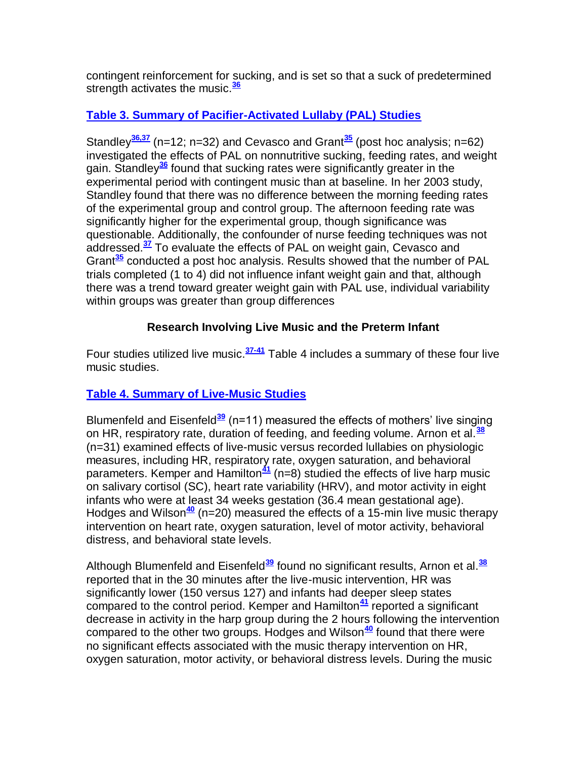contingent reinforcement for sucking, and is set so that a suck of predetermined strength activates the music.**[36](http://snrs.org/publications/SOJNR_articles2/n)**

# **[Table 3. Summary of Pacifier-Activated Lullaby \(PAL\) Studies](http://snrs.org/publications/SOJNR_articles2/images/Vol10Num03Art05_3.pdf)**

Standley<sup>[36,37](http://snrs.org/publications/SOJNR_articles2/n)</sup> (n=12; n=32) and Cevasco and Grant<sup>[35](http://snrs.org/publications/SOJNR_articles2/n)</sup> (post hoc analysis; n=62) investigated the effects of PAL on nonnutritive sucking, feeding rates, and weight gain. Standley**[36](http://snrs.org/publications/SOJNR_articles2/n)** found that sucking rates were significantly greater in the experimental period with contingent music than at baseline. In her 2003 study, Standley found that there was no difference between the morning feeding rates of the experimental group and control group. The afternoon feeding rate was significantly higher for the experimental group, though significance was questionable. Additionally, the confounder of nurse feeding techniques was not addressed.**[37](http://snrs.org/publications/SOJNR_articles2/n)** To evaluate the effects of PAL on weight gain, Cevasco and Grant**[35](http://snrs.org/publications/SOJNR_articles2/n)** conducted a post hoc analysis. Results showed that the number of PAL trials completed (1 to 4) did not influence infant weight gain and that, although there was a trend toward greater weight gain with PAL use, individual variability within groups was greater than group differences

# **Research Involving Live Music and the Preterm Infant**

Four studies utilized live music.**[37-41](http://snrs.org/publications/SOJNR_articles2/n)** Table 4 includes a summary of these four live music studies.

# **[Table 4. Summary of Live-Music Studies](http://snrs.org/publications/SOJNR_articles2/images/Vol10Num03Art05_4.pdf)**

Blumenfeld and Eisenfeld<sup>[39](http://snrs.org/publications/SOJNR_articles2/n)</sup> (n=11) measured the effects of mothers' live singing on HR, respiratory rate, duration of feeding, and feeding volume. Arnon et al.**[38](http://snrs.org/publications/SOJNR_articles2/n)** (n=31) examined effects of live-music versus recorded lullabies on physiologic measures, including HR, respiratory rate, oxygen saturation, and behavioral parameters. Kemper and Hamilton<sup>[41](http://snrs.org/publications/SOJNR_articles2/n)</sup> (n=8) studied the effects of live harp music on salivary cortisol (SC), heart rate variability (HRV), and motor activity in eight infants who were at least 34 weeks gestation (36.4 mean gestational age). Hodges and Wilson**[40](http://snrs.org/publications/SOJNR_articles2/n)** (n=20) measured the effects of a 15-min live music therapy intervention on heart rate, oxygen saturation, level of motor activity, behavioral distress, and behavioral state levels.

Although Blumenfeld and Eisenfeld**[39](http://snrs.org/publications/SOJNR_articles2/n)** found no significant results, Arnon et al.**[38](http://snrs.org/publications/SOJNR_articles2/n)** reported that in the 30 minutes after the live-music intervention, HR was significantly lower (150 versus 127) and infants had deeper sleep states compared to the control period. Kemper and Hamilton**[41](http://snrs.org/publications/SOJNR_articles2/n)** reported a significant decrease in activity in the harp group during the 2 hours following the intervention compared to the other two groups. Hodges and Wilson**[40](http://snrs.org/publications/SOJNR_articles2/n)** found that there were no significant effects associated with the music therapy intervention on HR, oxygen saturation, motor activity, or behavioral distress levels. During the music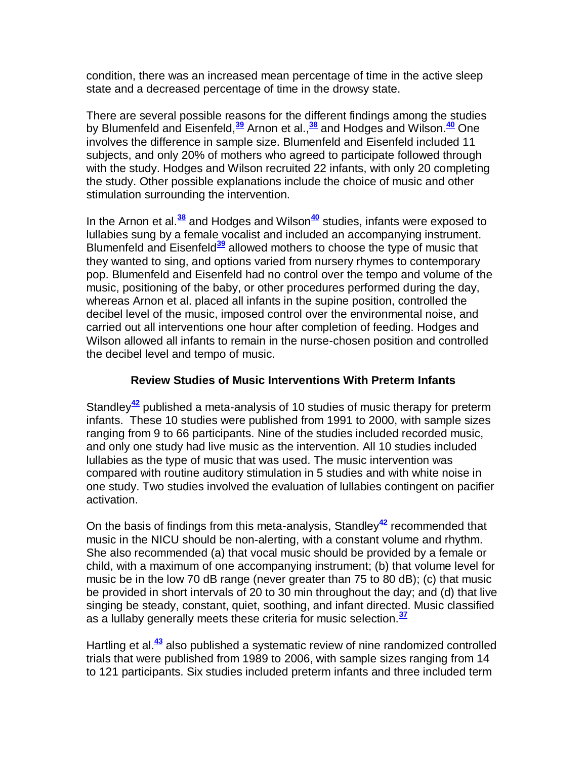condition, there was an increased mean percentage of time in the active sleep state and a decreased percentage of time in the drowsy state.

There are several possible reasons for the different findings among the studies by Blumenfeld and Eisenfeld,**[39](http://snrs.org/publications/SOJNR_articles2/n)** Arnon et al.,**[38](http://snrs.org/publications/SOJNR_articles2/n)** and Hodges and Wilson.**[40](http://snrs.org/publications/SOJNR_articles2/n)** One involves the difference in sample size. Blumenfeld and Eisenfeld included 11 subjects, and only 20% of mothers who agreed to participate followed through with the study. Hodges and Wilson recruited 22 infants, with only 20 completing the study. Other possible explanations include the choice of music and other stimulation surrounding the intervention.

In the Arnon et al.**[38](http://snrs.org/publications/SOJNR_articles2/n)** and Hodges and Wilson**[40](http://snrs.org/publications/SOJNR_articles2/n)** studies, infants were exposed to lullabies sung by a female vocalist and included an accompanying instrument. Blumenfeld and Eisenfeld**[39](http://snrs.org/publications/SOJNR_articles2/n)** allowed mothers to choose the type of music that they wanted to sing, and options varied from nursery rhymes to contemporary pop. Blumenfeld and Eisenfeld had no control over the tempo and volume of the music, positioning of the baby, or other procedures performed during the day, whereas Arnon et al. placed all infants in the supine position, controlled the decibel level of the music, imposed control over the environmental noise, and carried out all interventions one hour after completion of feeding. Hodges and Wilson allowed all infants to remain in the nurse-chosen position and controlled the decibel level and tempo of music.

#### **Review Studies of Music Interventions With Preterm Infants**

Standley**[42](http://snrs.org/publications/SOJNR_articles2/n)** published a meta-analysis of 10 studies of music therapy for preterm infants. These 10 studies were published from 1991 to 2000, with sample sizes ranging from 9 to 66 participants. Nine of the studies included recorded music, and only one study had live music as the intervention. All 10 studies included lullabies as the type of music that was used. The music intervention was compared with routine auditory stimulation in 5 studies and with white noise in one study. Two studies involved the evaluation of lullabies contingent on pacifier activation.

On the basis of findings from this meta-analysis, Standley**[42](http://snrs.org/publications/SOJNR_articles2/n)** recommended that music in the NICU should be non-alerting, with a constant volume and rhythm. She also recommended (a) that vocal music should be provided by a female or child, with a maximum of one accompanying instrument; (b) that volume level for music be in the low 70 dB range (never greater than 75 to 80 dB); (c) that music be provided in short intervals of 20 to 30 min throughout the day; and (d) that live singing be steady, constant, quiet, soothing, and infant directed. Music classified as a lullaby generally meets these criteria for music selection.**[37](http://snrs.org/publications/SOJNR_articles2/n)**

Hartling et al.**[43](http://snrs.org/publications/SOJNR_articles2/n)** also published a systematic review of nine randomized controlled trials that were published from 1989 to 2006, with sample sizes ranging from 14 to 121 participants. Six studies included preterm infants and three included term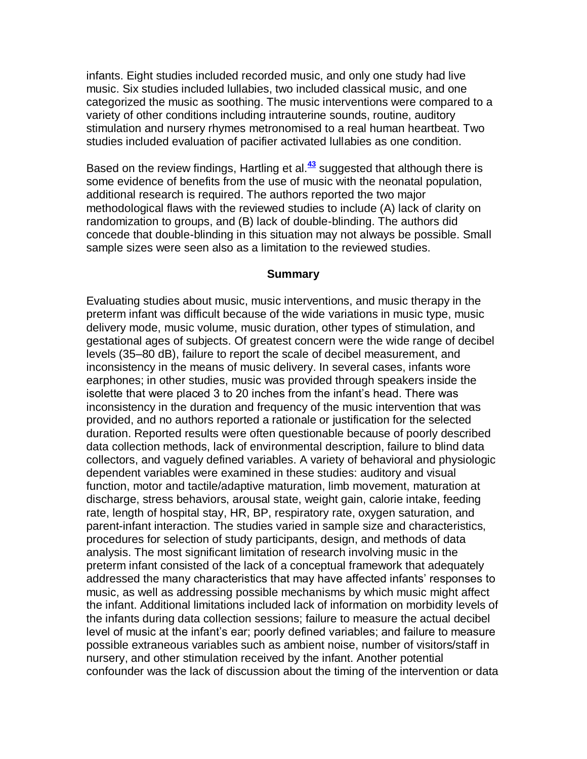infants. Eight studies included recorded music, and only one study had live music. Six studies included lullabies, two included classical music, and one categorized the music as soothing. The music interventions were compared to a variety of other conditions including intrauterine sounds, routine, auditory stimulation and nursery rhymes metronomised to a real human heartbeat. Two studies included evaluation of pacifier activated lullabies as one condition.

Based on the review findings, Hartling et al.**[43](http://snrs.org/publications/SOJNR_articles2/n)** suggested that although there is some evidence of benefits from the use of music with the neonatal population, additional research is required. The authors reported the two major methodological flaws with the reviewed studies to include (A) lack of clarity on randomization to groups, and (B) lack of double-blinding. The authors did concede that double-blinding in this situation may not always be possible. Small sample sizes were seen also as a limitation to the reviewed studies.

#### **Summary**

Evaluating studies about music, music interventions, and music therapy in the preterm infant was difficult because of the wide variations in music type, music delivery mode, music volume, music duration, other types of stimulation, and gestational ages of subjects. Of greatest concern were the wide range of decibel levels (35–80 dB), failure to report the scale of decibel measurement, and inconsistency in the means of music delivery. In several cases, infants wore earphones; in other studies, music was provided through speakers inside the isolette that were placed 3 to 20 inches from the infant"s head. There was inconsistency in the duration and frequency of the music intervention that was provided, and no authors reported a rationale or justification for the selected duration. Reported results were often questionable because of poorly described data collection methods, lack of environmental description, failure to blind data collectors, and vaguely defined variables. A variety of behavioral and physiologic dependent variables were examined in these studies: auditory and visual function, motor and tactile/adaptive maturation, limb movement, maturation at discharge, stress behaviors, arousal state, weight gain, calorie intake, feeding rate, length of hospital stay, HR, BP, respiratory rate, oxygen saturation, and parent-infant interaction. The studies varied in sample size and characteristics, procedures for selection of study participants, design, and methods of data analysis. The most significant limitation of research involving music in the preterm infant consisted of the lack of a conceptual framework that adequately addressed the many characteristics that may have affected infants" responses to music, as well as addressing possible mechanisms by which music might affect the infant. Additional limitations included lack of information on morbidity levels of the infants during data collection sessions; failure to measure the actual decibel level of music at the infant"s ear; poorly defined variables; and failure to measure possible extraneous variables such as ambient noise, number of visitors/staff in nursery, and other stimulation received by the infant. Another potential confounder was the lack of discussion about the timing of the intervention or data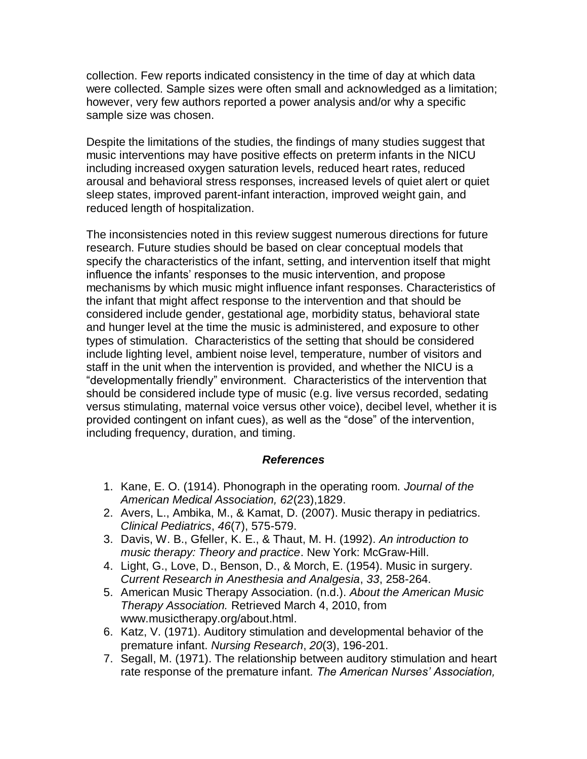collection. Few reports indicated consistency in the time of day at which data were collected. Sample sizes were often small and acknowledged as a limitation; however, very few authors reported a power analysis and/or why a specific sample size was chosen.

Despite the limitations of the studies, the findings of many studies suggest that music interventions may have positive effects on preterm infants in the NICU including increased oxygen saturation levels, reduced heart rates, reduced arousal and behavioral stress responses, increased levels of quiet alert or quiet sleep states, improved parent-infant interaction, improved weight gain, and reduced length of hospitalization.

The inconsistencies noted in this review suggest numerous directions for future research. Future studies should be based on clear conceptual models that specify the characteristics of the infant, setting, and intervention itself that might influence the infants" responses to the music intervention, and propose mechanisms by which music might influence infant responses. Characteristics of the infant that might affect response to the intervention and that should be considered include gender, gestational age, morbidity status, behavioral state and hunger level at the time the music is administered, and exposure to other types of stimulation. Characteristics of the setting that should be considered include lighting level, ambient noise level, temperature, number of visitors and staff in the unit when the intervention is provided, and whether the NICU is a "developmentally friendly" environment. Characteristics of the intervention that should be considered include type of music (e.g. live versus recorded, sedating versus stimulating, maternal voice versus other voice), decibel level, whether it is provided contingent on infant cues), as well as the "dose" of the intervention, including frequency, duration, and timing.

#### *References*

- 1. Kane, E. O. (1914). Phonograph in the operating room. *Journal of the American Medical Association, 62*(23),1829.
- 2. Avers, L., Ambika, M., & Kamat, D. (2007). Music therapy in pediatrics. *Clinical Pediatrics*, *46*(7), 575-579.
- 3. Davis, W. B., Gfeller, K. E., & Thaut, M. H. (1992). *An introduction to music therapy: Theory and practice*. New York: McGraw-Hill.
- 4. Light, G., Love, D., Benson, D., & Morch, E. (1954). Music in surgery. *Current Research in Anesthesia and Analgesia*, *33*, 258-264.
- 5. American Music Therapy Association. (n.d.). *About the American Music Therapy Association.* Retrieved March 4, 2010, from www.musictherapy.org/about.html.
- 6. Katz, V. (1971). Auditory stimulation and developmental behavior of the premature infant. *Nursing Research*, *20*(3), 196-201.
- 7. Segall, M. (1971). The relationship between auditory stimulation and heart rate response of the premature infant*. The American Nurses' Association,*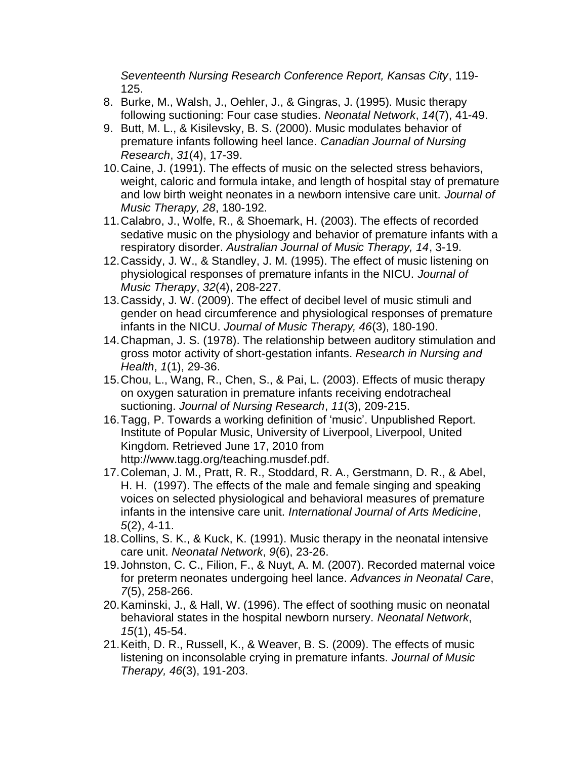*Seventeenth Nursing Research Conference Report, Kansas City*, 119- 125.

- 8. Burke, M., Walsh, J., Oehler, J., & Gingras, J. (1995). Music therapy following suctioning: Four case studies. *Neonatal Network*, *14*(7), 41-49.
- 9. Butt, M. L., & Kisilevsky, B. S. (2000). Music modulates behavior of premature infants following heel lance. *Canadian Journal of Nursing Research*, *31*(4), 17-39.
- 10.Caine, J. (1991). The effects of music on the selected stress behaviors, weight, caloric and formula intake, and length of hospital stay of premature and low birth weight neonates in a newborn intensive care unit. *Journal of Music Therapy, 28*, 180-192.
- 11.Calabro, J., Wolfe, R., & Shoemark, H. (2003). The effects of recorded sedative music on the physiology and behavior of premature infants with a respiratory disorder. *Australian Journal of Music Therapy, 14*, 3-19.
- 12.Cassidy, J. W., & Standley, J. M. (1995). The effect of music listening on physiological responses of premature infants in the NICU. *Journal of Music Therapy*, *32*(4), 208-227.
- 13.Cassidy, J. W. (2009). The effect of decibel level of music stimuli and gender on head circumference and physiological responses of premature infants in the NICU. *Journal of Music Therapy, 46*(3), 180-190.
- 14.Chapman, J. S. (1978). The relationship between auditory stimulation and gross motor activity of short-gestation infants. *Research in Nursing and Health*, *1*(1), 29-36.
- 15.Chou, L., Wang, R., Chen, S., & Pai, L. (2003). Effects of music therapy on oxygen saturation in premature infants receiving endotracheal suctioning. *Journal of Nursing Research*, *11*(3), 209-215.
- 16.Tagg, P. Towards a working definition of "music". Unpublished Report. Institute of Popular Music, University of Liverpool, Liverpool, United Kingdom. Retrieved June 17, 2010 from http://www.tagg.org/teaching.musdef.pdf.
- 17.Coleman, J. M., Pratt, R. R., Stoddard, R. A., Gerstmann, D. R., & Abel, H. H. (1997). The effects of the male and female singing and speaking voices on selected physiological and behavioral measures of premature infants in the intensive care unit. *International Journal of Arts Medicine*, *5*(2), 4-11.
- 18.Collins, S. K., & Kuck, K. (1991). Music therapy in the neonatal intensive care unit. *Neonatal Network*, *9*(6), 23-26.
- 19.Johnston, C. C., Filion, F., & Nuyt, A. M. (2007). Recorded maternal voice for preterm neonates undergoing heel lance. *Advances in Neonatal Care*, *7*(5), 258-266.
- 20.Kaminski, J., & Hall, W. (1996). The effect of soothing music on neonatal behavioral states in the hospital newborn nursery. *Neonatal Network*, *15*(1), 45-54.
- 21.Keith, D. R., Russell, K., & Weaver, B. S. (2009). The effects of music listening on inconsolable crying in premature infants. *Journal of Music Therapy, 46*(3), 191-203.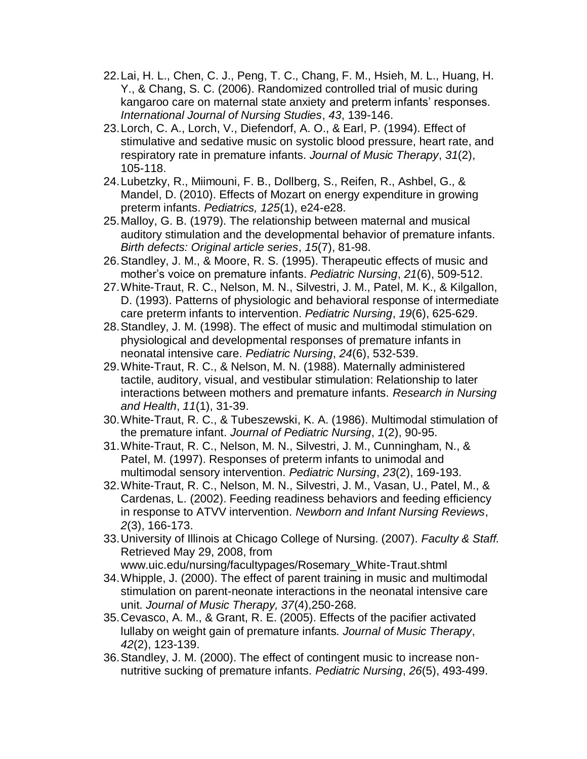- 22.Lai, H. L., Chen, C. J., Peng, T. C., Chang, F. M., Hsieh, M. L., Huang, H. Y., & Chang, S. C. (2006). Randomized controlled trial of music during kangaroo care on maternal state anxiety and preterm infants' responses. *International Journal of Nursing Studies*, *43*, 139-146.
- 23.Lorch, C. A., Lorch, V., Diefendorf, A. O., & Earl, P. (1994). Effect of stimulative and sedative music on systolic blood pressure, heart rate, and respiratory rate in premature infants. *Journal of Music Therapy*, *31*(2), 105-118.
- 24.Lubetzky, R., Miimouni, F. B., Dollberg, S., Reifen, R., Ashbel, G., & Mandel, D. (2010). Effects of Mozart on energy expenditure in growing preterm infants. *Pediatrics, 125*(1), e24-e28.
- 25.Malloy, G. B. (1979). The relationship between maternal and musical auditory stimulation and the developmental behavior of premature infants. *Birth defects: Original article series*, *15*(7), 81-98.
- 26.Standley, J. M., & Moore, R. S. (1995). Therapeutic effects of music and mother"s voice on premature infants. *Pediatric Nursing*, *21*(6), 509-512.
- 27.White-Traut, R. C., Nelson, M. N., Silvestri, J. M., Patel, M. K., & Kilgallon, D. (1993). Patterns of physiologic and behavioral response of intermediate care preterm infants to intervention. *Pediatric Nursing*, *19*(6), 625-629.
- 28.Standley, J. M. (1998). The effect of music and multimodal stimulation on physiological and developmental responses of premature infants in neonatal intensive care. *Pediatric Nursing*, *24*(6), 532-539.
- 29.White-Traut, R. C., & Nelson, M. N. (1988). Maternally administered tactile, auditory, visual, and vestibular stimulation: Relationship to later interactions between mothers and premature infants. *Research in Nursing and Health*, *11*(1), 31-39.
- 30.White-Traut, R. C., & Tubeszewski, K. A. (1986). Multimodal stimulation of the premature infant. *Journal of Pediatric Nursing*, *1*(2), 90-95.
- 31.White-Traut, R. C., Nelson, M. N., Silvestri, J. M., Cunningham, N., & Patel, M. (1997). Responses of preterm infants to unimodal and multimodal sensory intervention. *Pediatric Nursing*, *23*(2), 169-193.
- 32.White-Traut, R. C., Nelson, M. N., Silvestri, J. M., Vasan, U., Patel, M., & Cardenas, L. (2002). Feeding readiness behaviors and feeding efficiency in response to ATVV intervention. *Newborn and Infant Nursing Reviews*, *2*(3), 166-173.
- 33.University of Illinois at Chicago College of Nursing. (2007). *Faculty & Staff.* Retrieved May 29, 2008, from

www.uic.edu/nursing/facultypages/Rosemary\_White-Traut.shtml

- 34.Whipple, J. (2000). The effect of parent training in music and multimodal stimulation on parent-neonate interactions in the neonatal intensive care unit. *Journal of Music Therapy, 37*(4),250-268.
- 35.Cevasco, A. M., & Grant, R. E. (2005). Effects of the pacifier activated lullaby on weight gain of premature infants. *Journal of Music Therapy*, *42*(2), 123-139.
- 36.Standley, J. M. (2000). The effect of contingent music to increase nonnutritive sucking of premature infants. *Pediatric Nursing*, *26*(5), 493-499.